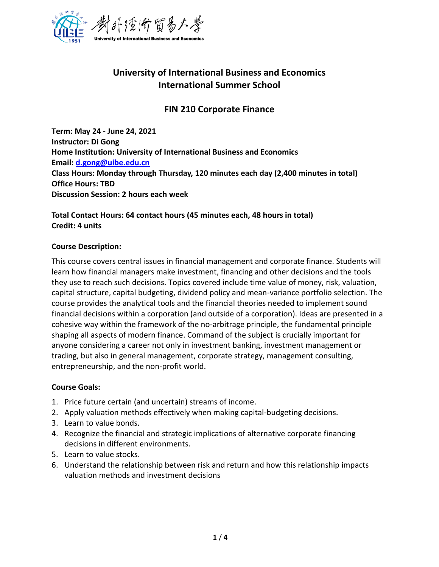

# **University of International Business and Economics International Summer School**

# **FIN 210 Corporate Finance**

**Term: May 24 - June 24, 2021 Instructor: Di Gong Home Institution: University of International Business and Economics Email: [d.gong@uibe.edu.cn](mailto:d.gong@uibe.edu.cn) Class Hours: Monday through Thursday, 120 minutes each day (2,400 minutes in total) Office Hours: TBD Discussion Session: 2 hours each week** 

# **Total Contact Hours: 64 contact hours (45 minutes each, 48 hours in total) Credit: 4 units**

# **Course Description:**

This course covers central issues in financial management and corporate finance. Students will learn how financial managers make investment, financing and other decisions and the tools they use to reach such decisions. Topics covered include time value of money, risk, valuation, capital structure, capital budgeting, dividend policy and mean-variance portfolio selection. The course provides the analytical tools and the financial theories needed to implement sound financial decisions within a corporation (and outside of a corporation). Ideas are presented in a cohesive way within the framework of the no-arbitrage principle, the fundamental principle shaping all aspects of modern finance. Command of the subject is crucially important for anyone considering a career not only in investment banking, investment management or trading, but also in general management, corporate strategy, management consulting, entrepreneurship, and the non-profit world.

#### **Course Goals:**

- 1. Price future certain (and uncertain) streams of income.
- 2. Apply valuation methods effectively when making capital-budgeting decisions.
- 3. Learn to value bonds.
- 4. Recognize the financial and strategic implications of alternative corporate financing decisions in different environments.
- 5. Learn to value stocks.
- 6. Understand the relationship between risk and return and how this relationship impacts valuation methods and investment decisions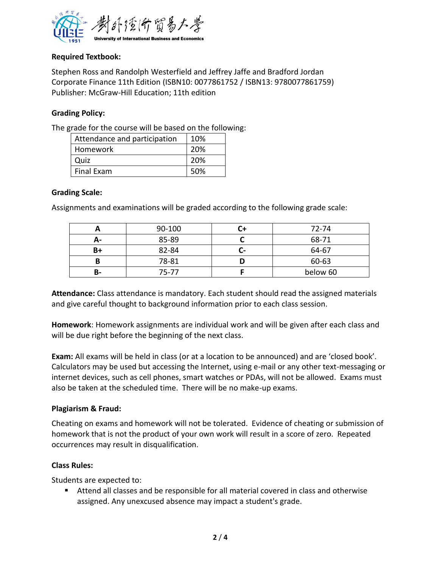

# **Required Textbook:**

Stephen Ross and Randolph Westerfield and Jeffrey Jaffe and Bradford Jordan Corporate Finance 11th Edition (ISBN10: 0077861752 / ISBN13: 9780077861759) Publisher: McGraw-Hill Education; 11th edition

# **Grading Policy:**

The grade for the course will be based on the following:

| Attendance and participation | 10% |
|------------------------------|-----|
| Homework                     | 20% |
| Quiz                         | 20% |
| <b>Final Exam</b>            | 50% |

#### **Grading Scale:**

Assignments and examinations will be graded according to the following grade scale:

|    | 90-100 | $72 - 74$ |          |  |
|----|--------|-----------|----------|--|
| А- | 85-89  |           | 68-71    |  |
| B+ | 82-84  |           | 64-67    |  |
| B  | 78-81  |           | 60-63    |  |
| B- | 75-77  |           | below 60 |  |

**Attendance:** Class attendance is mandatory. Each student should read the assigned materials and give careful thought to background information prior to each class session.

**Homework**: Homework assignments are individual work and will be given after each class and will be due right before the beginning of the next class.

**Exam:** All exams will be held in class (or at a location to be announced) and are 'closed book'. Calculators may be used but accessing the Internet, using e-mail or any other text-messaging or internet devices, such as cell phones, smart watches or PDAs, will not be allowed. Exams must also be taken at the scheduled time. There will be no make-up exams.

#### **Plagiarism & Fraud:**

Cheating on exams and homework will not be tolerated. Evidence of cheating or submission of homework that is not the product of your own work will result in a score of zero. Repeated occurrences may result in disqualification.

#### **Class Rules:**

Students are expected to:

■ Attend all classes and be responsible for all material covered in class and otherwise assigned. Any unexcused absence may impact a student's grade.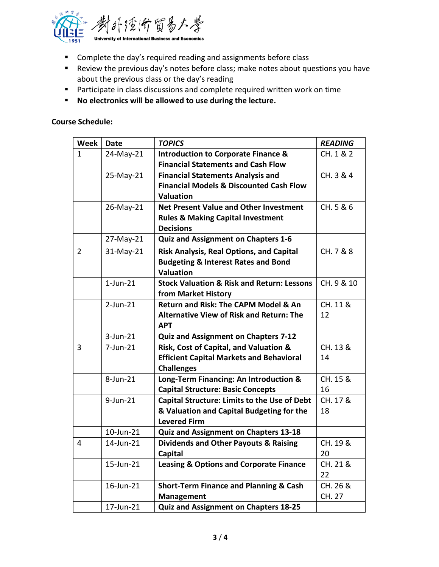

- Complete the day's required reading and assignments before class
- Review the previous day's notes before class; make notes about questions you have about the previous class or the day's reading
- Participate in class discussions and complete required written work on time
- **No electronics will be allowed to use during the lecture.**

**Course Schedule:** 

| Week           | <b>Date</b> | <b>TOPICS</b>                                         | <b>READING</b> |
|----------------|-------------|-------------------------------------------------------|----------------|
| 1              | 24-May-21   | <b>Introduction to Corporate Finance &amp;</b>        | CH. 1 & 2      |
|                |             | <b>Financial Statements and Cash Flow</b>             |                |
|                | 25-May-21   | <b>Financial Statements Analysis and</b>              | CH. 3 & 4      |
|                |             | <b>Financial Models &amp; Discounted Cash Flow</b>    |                |
|                |             | <b>Valuation</b>                                      |                |
|                | 26-May-21   | <b>Net Present Value and Other Investment</b>         | CH. 5 & 6      |
|                |             | <b>Rules &amp; Making Capital Investment</b>          |                |
|                |             | <b>Decisions</b>                                      |                |
|                | 27-May-21   | <b>Quiz and Assignment on Chapters 1-6</b>            |                |
| $\overline{2}$ | 31-May-21   | Risk Analysis, Real Options, and Capital              | CH. 7 & 8      |
|                |             | <b>Budgeting &amp; Interest Rates and Bond</b>        |                |
|                |             | <b>Valuation</b>                                      |                |
|                | $1$ -Jun-21 | <b>Stock Valuation &amp; Risk and Return: Lessons</b> | CH. 9 & 10     |
|                |             | from Market History                                   |                |
|                | $2$ -Jun-21 | Return and Risk: The CAPM Model & An                  | CH. 11 &       |
|                |             | <b>Alternative View of Risk and Return: The</b>       | 12             |
|                |             | <b>APT</b>                                            |                |
|                | $3$ -Jun-21 | Quiz and Assignment on Chapters 7-12                  |                |
| 3              | $7$ -Jun-21 | Risk, Cost of Capital, and Valuation &                | CH. 13 &       |
|                |             | <b>Efficient Capital Markets and Behavioral</b>       | 14             |
|                |             | <b>Challenges</b>                                     |                |
|                | 8-Jun-21    | Long-Term Financing: An Introduction &                | CH. 15 &       |
|                |             | <b>Capital Structure: Basic Concepts</b>              | 16             |
|                | 9-Jun-21    | <b>Capital Structure: Limits to the Use of Debt</b>   | CH. 17 &       |
|                |             | & Valuation and Capital Budgeting for the             | 18             |
|                |             | <b>Levered Firm</b>                                   |                |
|                | 10-Jun-21   | Quiz and Assignment on Chapters 13-18                 |                |
| 4              | 14-Jun-21   | <b>Dividends and Other Payouts &amp; Raising</b>      | CH. 19 &       |
|                |             | Capital                                               | 20             |
|                | 15-Jun-21   | <b>Leasing &amp; Options and Corporate Finance</b>    | CH. 21 &       |
|                |             |                                                       | 22             |
|                | 16-Jun-21   | <b>Short-Term Finance and Planning &amp; Cash</b>     | CH. 26 &       |
|                |             | <b>Management</b>                                     | CH. 27         |
|                | 17-Jun-21   | Quiz and Assignment on Chapters 18-25                 |                |